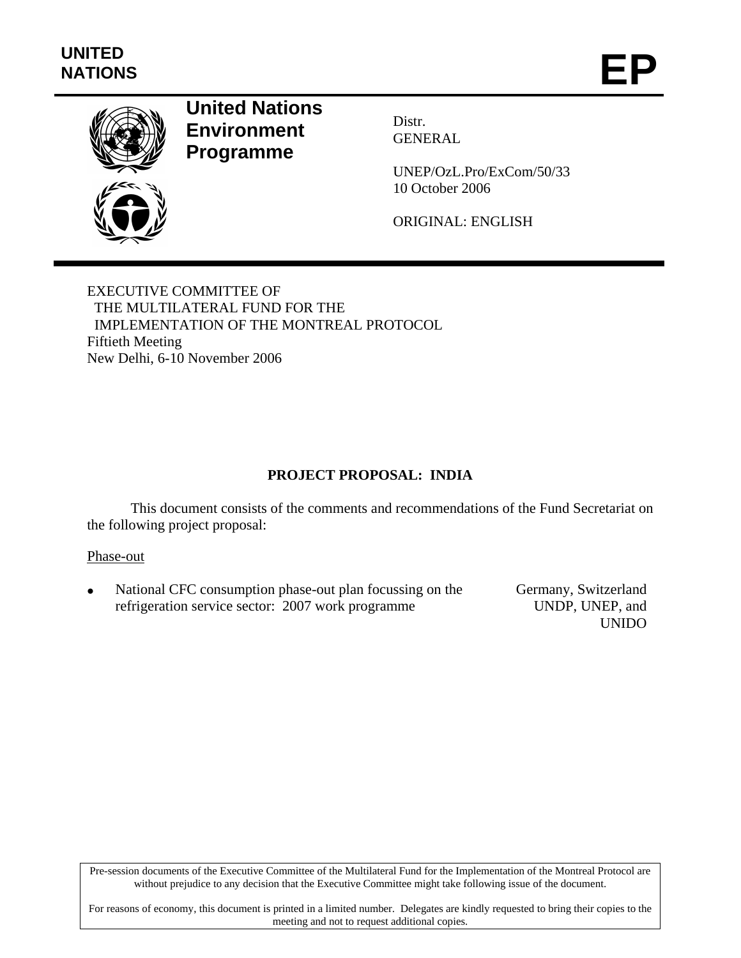

# **United Nations Environment Programme**

Distr. GENERAL

UNEP/OzL.Pro/ExCom/50/33 10 October 2006

ORIGINAL: ENGLISH

EXECUTIVE COMMITTEE OF THE MULTILATERAL FUND FOR THE IMPLEMENTATION OF THE MONTREAL PROTOCOL Fiftieth Meeting New Delhi, 6-10 November 2006

# **PROJECT PROPOSAL: INDIA**

This document consists of the comments and recommendations of the Fund Secretariat on the following project proposal:

#### Phase-out

National CFC consumption phase-out plan focussing on the refrigeration service sector: 2007 work programme

Germany, Switzerland UNDP, UNEP, and UNIDO

Pre-session documents of the Executive Committee of the Multilateral Fund for the Implementation of the Montreal Protocol are without prejudice to any decision that the Executive Committee might take following issue of the document.

For reasons of economy, this document is printed in a limited number. Delegates are kindly requested to bring their copies to the meeting and not to request additional copies.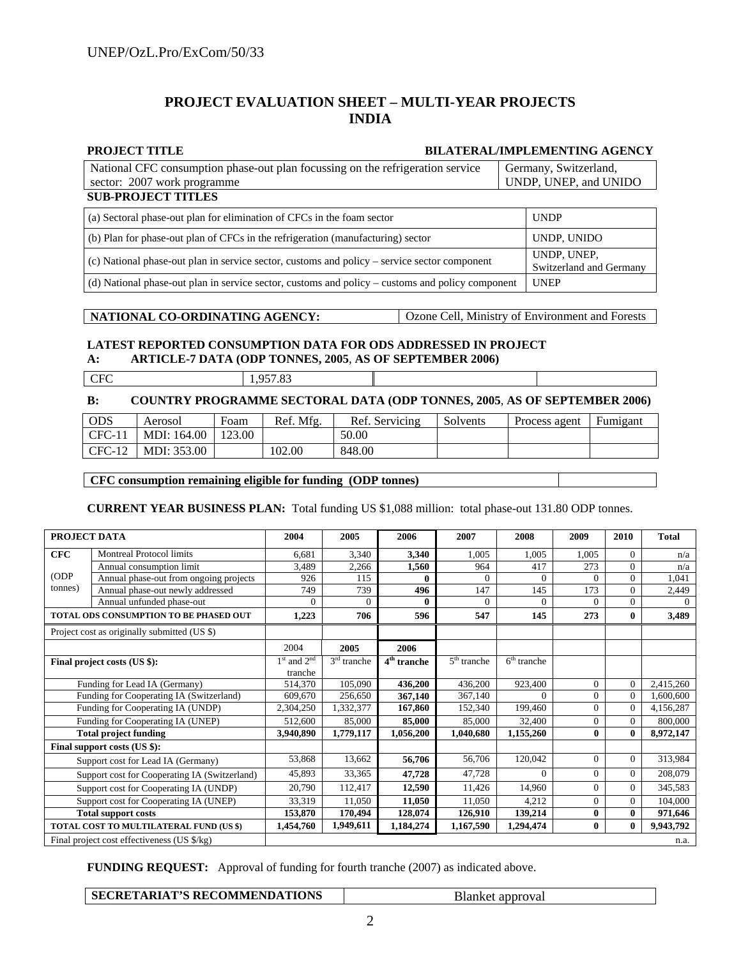#### **PROJECT EVALUATION SHEET – MULTI-YEAR PROJECTS INDIA**

#### **PROJECT TITLE BILATERAL/IMPLEMENTING AGENCY**

| National CFC consumption phase-out plan focussing on the refrigeration service | Germany, Switzerland, |
|--------------------------------------------------------------------------------|-----------------------|
| sector: 2007 work programme                                                    | UNDP, UNEP, and UNIDO |
| <b>SUB-PROJECT TITLES</b>                                                      |                       |

| (a) Sectoral phase-out plan for elimination of CFCs in the foam sector                           | <b>UNDP</b>                            |
|--------------------------------------------------------------------------------------------------|----------------------------------------|
| (b) Plan for phase-out plan of CFCs in the refrigeration (manufacturing) sector                  | UNDP, UNIDO                            |
| (c) National phase-out plan in service sector, customs and policy – service sector component     | UNDP, UNEP,<br>Switzerland and Germany |
| (d) National phase-out plan in service sector, customs and policy – customs and policy component | <b>UNEP</b>                            |

#### **NATIONAL CO-ORDINATING AGENCY:** Ozone Cell, Ministry of Environment and Forests

#### **LATEST REPORTED CONSUMPTION DATA FOR ODS ADDRESSED IN PROJECT A: ARTICLE-7 DATA (ODP TONNES, 2005**, **AS OF SEPTEMBER 2006)**

|            | 05702    |  |
|------------|----------|--|
| <b>CFC</b> | 1,997.09 |  |

#### **B: COUNTRY PROGRAMME SECTORAL DATA (ODP TONNES, 2005**, **AS OF SEPTEMBER 2006)**

| <b>ODS</b> | Aerosol     | Foam   | Ref. Mfg. | Ref. Servicing | Solvents | Process agent | Fumigant |
|------------|-------------|--------|-----------|----------------|----------|---------------|----------|
| $CFC-11$   | MDI: 164.00 | 123.00 |           | 50.00          |          |               |          |
| $CFC-12$   | MDI: 353.00 |        | 102.00    | 848.00         |          |               |          |

#### **CFC consumption remaining eligible for funding (ODP tonnes)**

**CURRENT YEAR BUSINESS PLAN:** Total funding US \$1,088 million: total phase-out 131.80 ODP tonnes.

| PROJECT DATA                 |                                               | 2004            | 2005          | 2006                               | 2007          | 2008          | 2009         | 2010     | <b>Total</b> |
|------------------------------|-----------------------------------------------|-----------------|---------------|------------------------------------|---------------|---------------|--------------|----------|--------------|
| CFC                          | Montreal Protocol limits                      | 6,681           | 3,340         | 3,340                              | 1.005         | 1.005         | 1.005        | $\Omega$ | n/a          |
|                              | Annual consumption limit                      | 3,489           | 2,266         | 1,560                              | 964           | 417           | 273          | $\Omega$ | n/a          |
| (ODP)                        | Annual phase-out from ongoing projects        | 926             | 115           | 0                                  | 0             | $\mathbf{0}$  | $\Omega$     | $\theta$ | 1,041        |
| tonnes)                      | Annual phase-out newly addressed              | 749             | 739           | 496                                | 147           | 145           | 173          | $\Omega$ | 2,449        |
|                              | Annual unfunded phase-out                     | $\Omega$        | 0             | 0                                  | 0             | $\Omega$      | 0            | $\Omega$ | $\Omega$     |
|                              | <b>TOTAL ODS CONSUMPTION TO BE PHASED OUT</b> | 1,223           | 706           | 596                                | 547           | 145           | 273          | $\bf{0}$ | 3,489        |
|                              | Project cost as originally submitted (US \$)  |                 |               |                                    |               |               |              |          |              |
|                              |                                               | 2004            | 2005          | 2006                               |               |               |              |          |              |
|                              | Final project costs (US \$):                  | $1st$ and $2nd$ | $3rd$ tranche | $\overline{4}^{\text{th}}$ tranche | $5th$ tranche | $6th$ tranche |              |          |              |
|                              |                                               | tranche         |               |                                    |               |               |              |          |              |
|                              | Funding for Lead IA (Germany)                 |                 | 105,090       | 436,200                            | 436,200       | 923,400       | $\Omega$     | $\Omega$ | 2,415,260    |
|                              | Funding for Cooperating IA (Switzerland)      |                 | 256,650       | 367,140                            | 367,140       | $\Omega$      | $\Omega$     | $\Omega$ | 1.600.600    |
|                              | Funding for Cooperating IA (UNDP)             | 2,304,250       | 1,332,377     | 167,860                            | 152,340       | 199,460       | $\Omega$     | $\Omega$ | 4,156,287    |
|                              | Funding for Cooperating IA (UNEP)             | 512,600         | 85,000        | 85,000                             | 85,000        | 32,400        | $\mathbf{0}$ | $\Omega$ | 800,000      |
| <b>Total project funding</b> |                                               | 3,940,890       | 1,779,117     | 1,056,200                          | 1,040,680     | 1,155,260     | $\mathbf{0}$ | $\bf{0}$ | 8,972,147    |
|                              | Final support costs (US \$):                  |                 |               |                                    |               |               |              |          |              |
|                              | Support cost for Lead IA (Germany)            | 53,868          | 13,662        | 56,706                             | 56,706        | 120,042       | $\Omega$     | $\Omega$ | 313,984      |
|                              | Support cost for Cooperating IA (Switzerland) | 45,893          | 33,365        | 47,728                             | 47.728        | $\Omega$      | $\Omega$     | $\Omega$ | 208,079      |
|                              | Support cost for Cooperating IA (UNDP)        | 20,790          | 112,417       | 12,590                             | 11.426        | 14.960        | $\mathbf{0}$ | $\Omega$ | 345,583      |
|                              | Support cost for Cooperating IA (UNEP)        | 33,319          | 11.050        | 11,050                             | 11.050        | 4.212         | $\Omega$     | $\Omega$ | 104,000      |
|                              | <b>Total support costs</b>                    | 153,870         | 170,494       | 128,074                            | 126,910       | 139,214       | $\bf{0}$     | $\bf{0}$ | 971,646      |
|                              | TOTAL COST TO MULTILATERAL FUND (US \$)       | 1.454,760       | 1,949,611     | 1,184,274                          | 1,167,590     | 1,294,474     | $\bf{0}$     | $\bf{0}$ | 9,943,792    |
|                              | Final project cost effectiveness (US \$/kg)   |                 |               |                                    |               |               |              |          | n.a.         |

**FUNDING REQUEST:** Approval of funding for fourth tranche (2007) as indicated above.

| SECRETARIAT'S RECOMMENDATIONS | Blanket approval |
|-------------------------------|------------------|
|-------------------------------|------------------|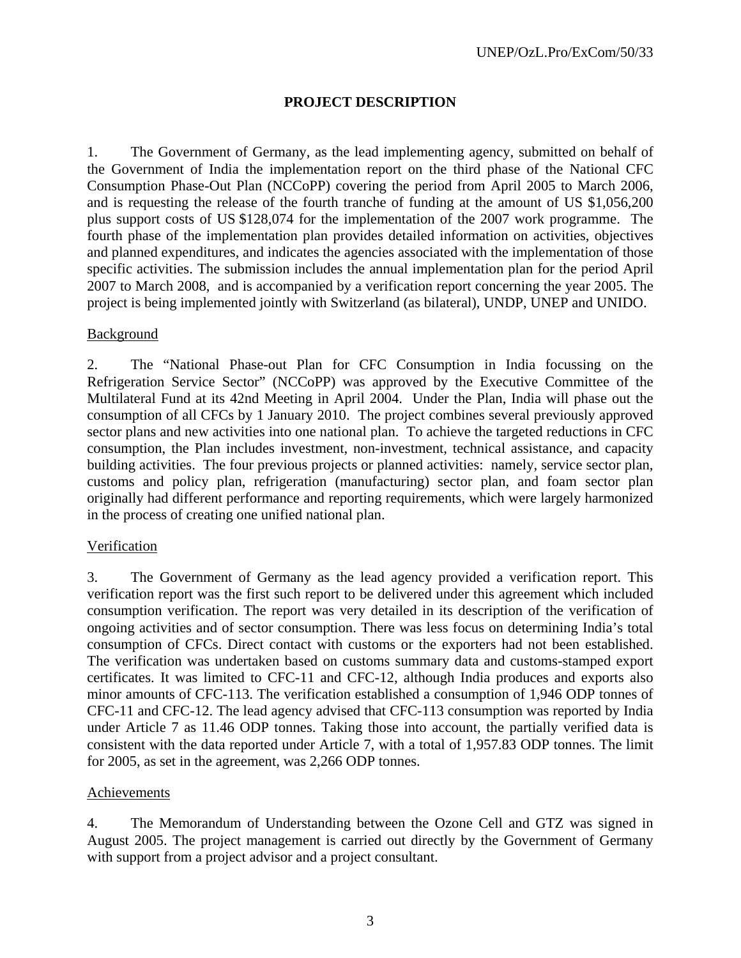# **PROJECT DESCRIPTION**

1. The Government of Germany, as the lead implementing agency, submitted on behalf of the Government of India the implementation report on the third phase of the National CFC Consumption Phase-Out Plan (NCCoPP) covering the period from April 2005 to March 2006, and is requesting the release of the fourth tranche of funding at the amount of US \$1,056,200 plus support costs of US \$128,074 for the implementation of the 2007 work programme. The fourth phase of the implementation plan provides detailed information on activities, objectives and planned expenditures, and indicates the agencies associated with the implementation of those specific activities. The submission includes the annual implementation plan for the period April 2007 to March 2008, and is accompanied by a verification report concerning the year 2005. The project is being implemented jointly with Switzerland (as bilateral), UNDP, UNEP and UNIDO.

#### Background

2. The "National Phase-out Plan for CFC Consumption in India focussing on the Refrigeration Service Sector" (NCCoPP) was approved by the Executive Committee of the Multilateral Fund at its 42nd Meeting in April 2004. Under the Plan, India will phase out the consumption of all CFCs by 1 January 2010. The project combines several previously approved sector plans and new activities into one national plan. To achieve the targeted reductions in CFC consumption, the Plan includes investment, non-investment, technical assistance, and capacity building activities. The four previous projects or planned activities: namely, service sector plan, customs and policy plan, refrigeration (manufacturing) sector plan, and foam sector plan originally had different performance and reporting requirements, which were largely harmonized in the process of creating one unified national plan.

#### Verification

3. The Government of Germany as the lead agency provided a verification report. This verification report was the first such report to be delivered under this agreement which included consumption verification. The report was very detailed in its description of the verification of ongoing activities and of sector consumption. There was less focus on determining India's total consumption of CFCs. Direct contact with customs or the exporters had not been established. The verification was undertaken based on customs summary data and customs-stamped export certificates. It was limited to CFC-11 and CFC-12, although India produces and exports also minor amounts of CFC-113. The verification established a consumption of 1,946 ODP tonnes of CFC-11 and CFC-12. The lead agency advised that CFC-113 consumption was reported by India under Article 7 as 11.46 ODP tonnes. Taking those into account, the partially verified data is consistent with the data reported under Article 7, with a total of 1,957.83 ODP tonnes. The limit for 2005, as set in the agreement, was 2,266 ODP tonnes.

#### Achievements

4. The Memorandum of Understanding between the Ozone Cell and GTZ was signed in August 2005. The project management is carried out directly by the Government of Germany with support from a project advisor and a project consultant.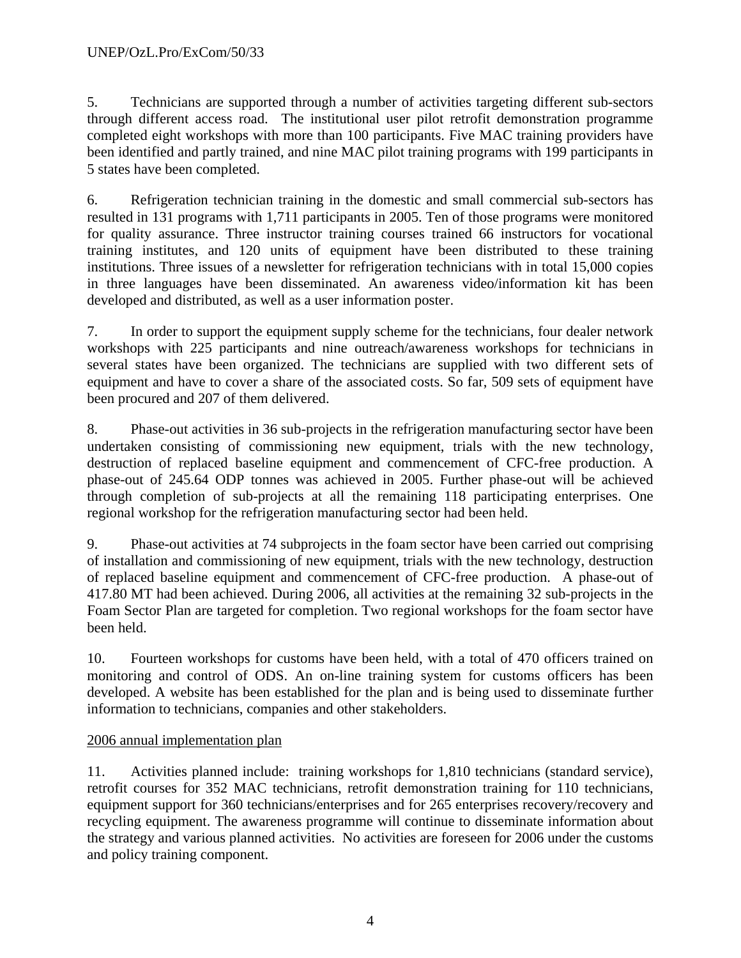5. Technicians are supported through a number of activities targeting different sub-sectors through different access road. The institutional user pilot retrofit demonstration programme completed eight workshops with more than 100 participants. Five MAC training providers have been identified and partly trained, and nine MAC pilot training programs with 199 participants in 5 states have been completed.

6. Refrigeration technician training in the domestic and small commercial sub-sectors has resulted in 131 programs with 1,711 participants in 2005. Ten of those programs were monitored for quality assurance. Three instructor training courses trained 66 instructors for vocational training institutes, and 120 units of equipment have been distributed to these training institutions. Three issues of a newsletter for refrigeration technicians with in total 15,000 copies in three languages have been disseminated. An awareness video/information kit has been developed and distributed, as well as a user information poster.

7. In order to support the equipment supply scheme for the technicians, four dealer network workshops with 225 participants and nine outreach/awareness workshops for technicians in several states have been organized. The technicians are supplied with two different sets of equipment and have to cover a share of the associated costs. So far, 509 sets of equipment have been procured and 207 of them delivered.

8. Phase-out activities in 36 sub-projects in the refrigeration manufacturing sector have been undertaken consisting of commissioning new equipment, trials with the new technology, destruction of replaced baseline equipment and commencement of CFC-free production. A phase-out of 245.64 ODP tonnes was achieved in 2005. Further phase-out will be achieved through completion of sub-projects at all the remaining 118 participating enterprises. One regional workshop for the refrigeration manufacturing sector had been held.

9. Phase-out activities at 74 subprojects in the foam sector have been carried out comprising of installation and commissioning of new equipment, trials with the new technology, destruction of replaced baseline equipment and commencement of CFC-free production. A phase-out of 417.80 MT had been achieved. During 2006, all activities at the remaining 32 sub-projects in the Foam Sector Plan are targeted for completion. Two regional workshops for the foam sector have been held.

10. Fourteen workshops for customs have been held, with a total of 470 officers trained on monitoring and control of ODS. An on-line training system for customs officers has been developed. A website has been established for the plan and is being used to disseminate further information to technicians, companies and other stakeholders.

# 2006 annual implementation plan

11. Activities planned include: training workshops for 1,810 technicians (standard service), retrofit courses for 352 MAC technicians, retrofit demonstration training for 110 technicians, equipment support for 360 technicians/enterprises and for 265 enterprises recovery/recovery and recycling equipment. The awareness programme will continue to disseminate information about the strategy and various planned activities. No activities are foreseen for 2006 under the customs and policy training component.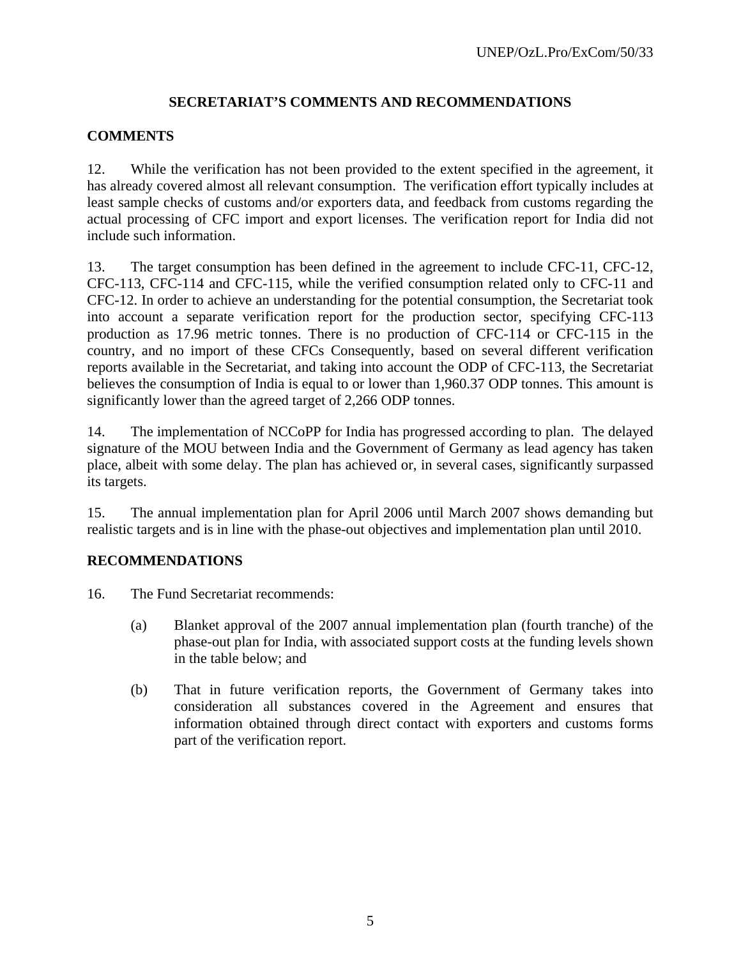# **SECRETARIAT'S COMMENTS AND RECOMMENDATIONS**

# **COMMENTS**

12. While the verification has not been provided to the extent specified in the agreement, it has already covered almost all relevant consumption. The verification effort typically includes at least sample checks of customs and/or exporters data, and feedback from customs regarding the actual processing of CFC import and export licenses. The verification report for India did not include such information.

13. The target consumption has been defined in the agreement to include CFC-11, CFC-12, CFC-113, CFC-114 and CFC-115, while the verified consumption related only to CFC-11 and CFC-12. In order to achieve an understanding for the potential consumption, the Secretariat took into account a separate verification report for the production sector, specifying CFC-113 production as 17.96 metric tonnes. There is no production of CFC-114 or CFC-115 in the country, and no import of these CFCs Consequently, based on several different verification reports available in the Secretariat, and taking into account the ODP of CFC-113, the Secretariat believes the consumption of India is equal to or lower than 1,960.37 ODP tonnes. This amount is significantly lower than the agreed target of 2,266 ODP tonnes.

14. The implementation of NCCoPP for India has progressed according to plan. The delayed signature of the MOU between India and the Government of Germany as lead agency has taken place, albeit with some delay. The plan has achieved or, in several cases, significantly surpassed its targets.

15. The annual implementation plan for April 2006 until March 2007 shows demanding but realistic targets and is in line with the phase-out objectives and implementation plan until 2010.

#### **RECOMMENDATIONS**

- 16. The Fund Secretariat recommends:
	- (a) Blanket approval of the 2007 annual implementation plan (fourth tranche) of the phase-out plan for India, with associated support costs at the funding levels shown in the table below; and
	- (b) That in future verification reports, the Government of Germany takes into consideration all substances covered in the Agreement and ensures that information obtained through direct contact with exporters and customs forms part of the verification report.